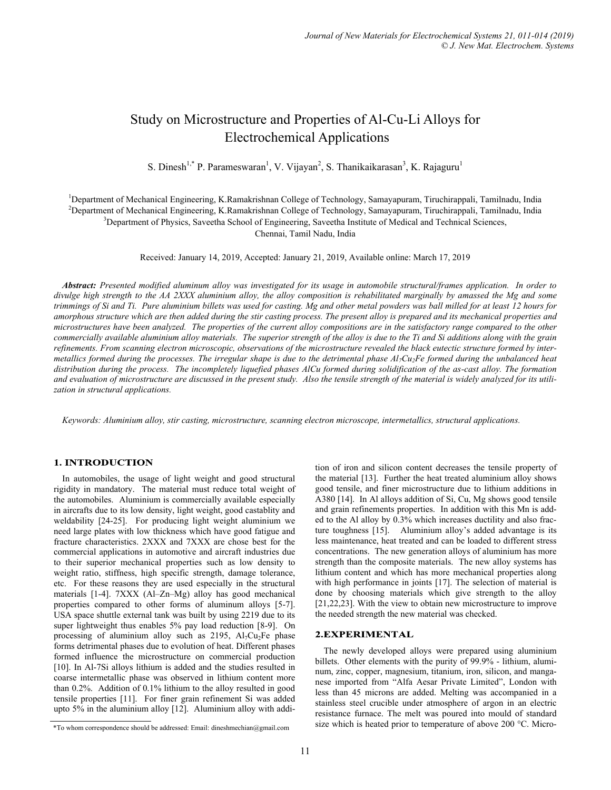# Study on Microstructure and Properties of Al-Cu-Li Alloys for Electrochemical Applications

S. Dinesh<sup>1,\*</sup> P. Parameswaran<sup>1</sup>, V. Vijayan<sup>2</sup>, S. Thanikaikarasan<sup>3</sup>, K. Rajaguru<sup>1</sup>

<sup>1</sup>Department of Mechanical Engineering, K.Ramakrishnan College of Technology, Samayapuram, Tiruchirappali, Tamilnadu, India <sup>2</sup>Department of Mechanical Engineering, K.Ramakrishnan College of Technology, Samayapuram, Tiruchirappali, Tamilnadu, India <sup>3</sup>Department of Physics, Saveetha School of Engineering, Saveetha Institute of Medical and Technical Sciences, Chennai, Tamil Nadu, India

Received: January 14, 2019, Accepted: January 21, 2019, Available online: March 17, 2019

*Abstract: Presented modified aluminum alloy was investigated for its usage in automobile structural/frames application. In order to divulge high strength to the AA 2XXX aluminium alloy, the alloy composition is rehabilitated marginally by amassed the Mg and some trimmings of Si and Ti. Pure aluminium billets was used for casting. Mg and other metal powders was ball milled for at least 12 hours for amorphous structure which are then added during the stir casting process. The present alloy is prepared and its mechanical properties and microstructures have been analyzed. The properties of the current alloy compositions are in the satisfactory range compared to the other commercially available aluminium alloy materials. The superior strength of the alloy is due to the Ti and Si additions along with the grain refinements. From scanning electron microscopic, observations of the microstructure revealed the black eutectic structure formed by intermetallics formed during the processes. The irregular shape is due to the detrimental phase Al7Cu2Fe formed during the unbalanced heat distribution during the process. The incompletely liquefied phases AlCu formed during solidification of the as-cast alloy. The formation and evaluation of microstructure are discussed in the present study. Also the tensile strength of the material is widely analyzed for its utilization in structural applications.*

*Keywords: Aluminium alloy, stir casting, microstructure, scanning electron microscope, intermetallics, structural applications.* 

## 1. INTRODUCTION

In automobiles, the usage of light weight and good structural rigidity in mandatory. The material must reduce total weight of the automobiles. Aluminium is commercially available especially in aircrafts due to its low density, light weight, good castablity and weldability [24-25]. For producing light weight aluminium we need large plates with low thickness which have good fatigue and fracture characteristics. 2XXX and 7XXX are chose best for the commercial applications in automotive and aircraft industries due to their superior mechanical properties such as low density to weight ratio, stiffness, high specific strength, damage tolerance, etc. For these reasons they are used especially in the structural materials [1-4]. 7XXX (Al–Zn–Mg) alloy has good mechanical properties compared to other forms of aluminum alloys [5-7]. USA space shuttle external tank was built by using 2219 due to its super lightweight thus enables 5% pay load reduction [8-9]. On processing of aluminium alloy such as  $2195$ ,  $Al<sub>7</sub>Cu<sub>2</sub>Fe$  phase forms detrimental phases due to evolution of heat. Different phases formed influence the microstructure on commercial production [10]. In Al-7Si alloys lithium is added and the studies resulted in coarse intermetallic phase was observed in lithium content more than 0.2%. Addition of 0.1% lithium to the alloy resulted in good tensile properties [11]. For finer grain refinement Si was added upto 5% in the aluminium alloy [12]. Aluminium alloy with addition of iron and silicon content decreases the tensile property of the material [13]. Further the heat treated aluminium alloy shows good tensile, and finer microstructure due to lithium additions in A380 [14]. In Al alloys addition of Si, Cu, Mg shows good tensile and grain refinements properties. In addition with this Mn is added to the Al alloy by 0.3% which increases ductility and also fracture toughness [15]. Aluminium alloy's added advantage is its less maintenance, heat treated and can be loaded to different stress concentrations. The new generation alloys of aluminium has more strength than the composite materials. The new alloy systems has lithium content and which has more mechanical properties along with high performance in joints [17]. The selection of material is done by choosing materials which give strength to the alloy [21,22,23]. With the view to obtain new microstructure to improve the needed strength the new material was checked.

## 2.EXPERIMENTAL

The newly developed alloys were prepared using aluminium billets. Other elements with the purity of 99.9% - lithium, aluminum, zinc, copper, magnesium, titanium, iron, silicon, and manganese imported from "Alfa Aesar Private Limited", London with less than 45 microns are added. Melting was accompanied in a stainless steel crucible under atmosphere of argon in an electric resistance furnace. The melt was poured into mould of standard size which is heated prior to temperature of above 200 °C. Micro- \*To whom correspondence should be addressed: Email: dineshmechian@gmail.com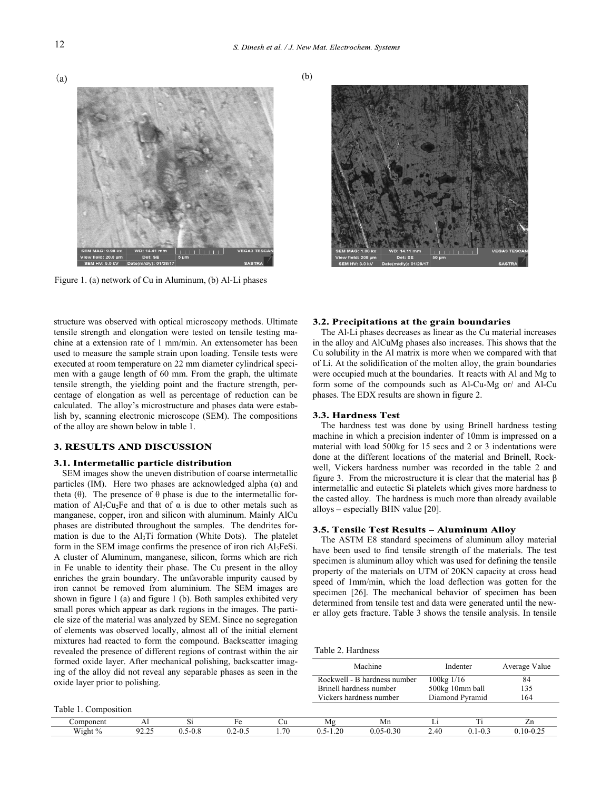



Figure 1. (a) network of Cu in Aluminum, (b) Al-Li phases



structure was observed with optical microscopy methods. Ultimate tensile strength and elongation were tested on tensile testing machine at a extension rate of 1 mm/min. An extensometer has been used to measure the sample strain upon loading. Tensile tests were executed at room temperature on 22 mm diameter cylindrical specimen with a gauge length of 60 mm. From the graph, the ultimate tensile strength, the yielding point and the fracture strength, percentage of elongation as well as percentage of reduction can be calculated. The alloy's microstructure and phases data were establish by, scanning electronic microscope (SEM). The compositions of the alloy are shown below in table 1.

#### **3. RESULTS AND DISCUSSION**

#### 3.1. Intermetallic particle distribution

SEM images show the uneven distribution of coarse intermetallic particles (IM). Here two phases are acknowledged alpha (α) and theta (θ). The presence of θ phase is due to the intermetallic formation of  $Al_7Cu_2Fe$  and that of  $\alpha$  is due to other metals such as manganese, copper, iron and silicon with aluminum. Mainly AlCu phases are distributed throughout the samples. The dendrites formation is due to the  $Al<sub>3</sub>Ti$  formation (White Dots). The platelet form in the SEM image confirms the presence of iron rich  $Al<sub>5</sub>FeSi$ . A cluster of Aluminum, manganese, silicon, forms which are rich in Fe unable to identity their phase. The Cu present in the alloy enriches the grain boundary. The unfavorable impurity caused by iron cannot be removed from aluminium. The SEM images are shown in figure 1 (a) and figure 1 (b). Both samples exhibited very small pores which appear as dark regions in the images. The particle size of the material was analyzed by SEM. Since no segregation of elements was observed locally, almost all of the initial element mixtures had reacted to form the compound. Backscatter imaging revealed the presence of different regions of contrast within the air formed oxide layer. After mechanical polishing, backscat ing of the alloy did not reveal any separable phases as seen in the intervals and  $\eta$ oxide layer prior to polishing.

### 3.2. Precipitations at the grain boundaries

The Al-Li phases decreases as linear as the Cu material increases in the alloy and AlCuMg phases also increases. This shows that the Cu solubility in the Al matrix is more when we compared with that of Li. At the solidification of the molten alloy, the grain boundaries were occupied much at the boundaries. It reacts with Al and Mg to form some of the compounds such as Al-Cu-Mg or/ and Al-Cu phases. The EDX results are shown in figure 2.

#### 3.3. Hardness Test

The hardness test was done by using Brinell hardness testing machine in which a precision indenter of 10mm is impressed on a material with load 500kg for 15 secs and 2 or 3 indentations were done at the different locations of the material and Brinell, Rockwell, Vickers hardness number was recorded in the table 2 and figure 3. From the microstructure it is clear that the material has  $β$ intermetallic and eutectic Si platelets which gives more hardness to the casted alloy. The hardness is much more than already available alloys – especially BHN value [20].

#### 3.5. Tensile Test Results - Aluminum Allov

The ASTM E8 standard specimens of aluminum alloy material have been used to find tensile strength of the materials. The test specimen is aluminum alloy which was used for defining the tensile property of the materials on UTM of 20KN capacity at cross head speed of 1mm/min, which the load deflection was gotten for the specimen [26]. The mechanical behavior of specimen has been determined from tensile test and data were generated until the newer alloy gets fracture. Table 3 shows the tensile analysis. In tensile

Table 2. Hardness

| ter imag-<br>en in the |              | Machine                      |                     | Indenter        | Average Value |  |  |
|------------------------|--------------|------------------------------|---------------------|-----------------|---------------|--|--|
|                        |              | Rockwell - B hardness number | $100\text{kg}$ 1/16 |                 | 84            |  |  |
|                        |              | Brinell hardness number      |                     | 500kg 10mm ball | 135           |  |  |
|                        |              | Vickers hardness number      |                     | Diamond Pyramid | 164           |  |  |
|                        |              |                              |                     |                 |               |  |  |
| Сu                     | Mg           | Mn                           | Li                  | Ti              | Zn            |  |  |
| 1.70                   | $0.5 - 1.20$ | $0.05 - 0.30$                | 2.40                | $0.1 - 0.3$     | $0.10 - 0.25$ |  |  |

Table 1. Composition

| $1.0011$ $1.00011$ |                 |                           |            |                   |              |                         |             |                       |           |
|--------------------|-----------------|---------------------------|------------|-------------------|--------------|-------------------------|-------------|-----------------------|-----------|
|                    | $\overline{11}$ |                           |            | – u               | 71 C<br>1117 | Mn                      |             | $\sim$                | --        |
| Wight              | <i>ت ست ست</i>  | 1-V.O<br>$v \cdot \omega$ | U.L<br>-∪⊷ | 70<br>$^{\prime}$ | .40<br>◡.◡   | U.UJ<br>$\sim$<br>v. ov | Λſ<br>$-10$ | $-v-v$<br>$v \cdot r$ | .<br>∪.∠. |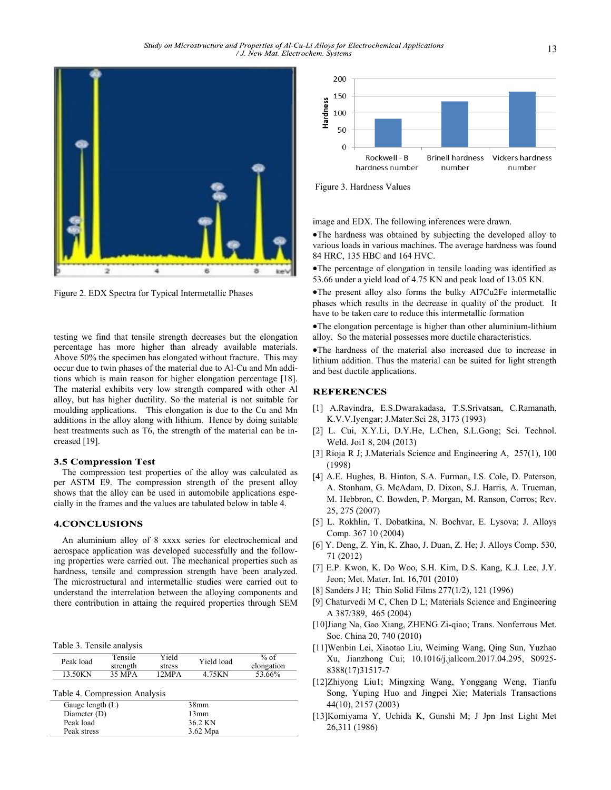

Figure 2. EDX Spectra for Typical Intermetallic Phases

testing we find that tensile strength decreases but the elongation percentage has more higher than already available materials. Above 50% the specimen has elongated without fracture. This may occur due to twin phases of the material due to Al-Cu and Mn additions which is main reason for higher elongation percentage [18]. The material exhibits very low strength compared with other Al alloy, but has higher ductility. So the material is not suitable for moulding applications. This elongation is due to the Cu and Mn additions in the alloy along with lithium. Hence by doing suitable heat treatments such as T6, the strength of the material can be increased [19].

#### **3.5 Compression Test**

The compression test properties of the alloy was calculated as per ASTM E9. The compression strength of the present alloy shows that the alloy can be used in automobile applications especially in the frames and the values are tabulated below in table 4.

## **4.CONCLUSIONS**

An aluminium alloy of 8 xxxx series for electrochemical and aerospace application was developed successfully and the following properties were carried out. The mechanical properties such as hardness, tensile and compression strength have been analyzed. The microstructural and intermetallic studies were carried out to understand the interrelation between the alloying components and there contribution in attaing the required properties through SEM

Table 3. Tensile analysis

| Tensile<br>strength | Yield<br>stress | Yield load                    | % of<br>elongation          |  |  |
|---------------------|-----------------|-------------------------------|-----------------------------|--|--|
| 35 MPA              | 12MPA           | 4.75KN                        | 53.66%                      |  |  |
|                     |                 |                               |                             |  |  |
| Gauge length $(L)$  |                 |                               |                             |  |  |
| Diameter (D)        |                 |                               | 13mm                        |  |  |
|                     |                 |                               |                             |  |  |
| Peak stress         |                 |                               | $3.62$ Mpa                  |  |  |
|                     |                 | Table 4. Compression Analysis | 38 <sub>mm</sub><br>36.2 KN |  |  |



Figure 3. Hardness Values

image and EDX. The following inferences were drawn.

•The hardness was obtained by subjecting the developed alloy to various loads in various machines. The average hardness was found 84 HRC, 135 HBC and 164 HVC.

•The percentage of elongation in tensile loading was identified as 53.66 under a yield load of 4.75 KN and peak load of 13.05 KN.

•The present alloy also forms the bulky Al7Cu2Fe intermetallic phases which results in the decrease in quality of the product. It have to be taken care to reduce this intermetallic formation

•The elongation percentage is higher than other aluminium-lithium alloy. So the material possesses more ductile characteristics.

•The hardness of the material also increased due to increase in lithium addition. Thus the material can be suited for light strength and best ductile applications.

## **REFERENCES**

- [1] A.Ravindra, E.S.Dwarakadasa, T.S.Srivatsan, C.Ramanath, K.V.V.Iyengar; J.Mater.Sci 28, 3173 (1993)
- [2] L. Cui, X.Y.Li, D.Y.He, L.Chen, S.L.Gong; Sci. Technol. Weld. Joi1 8, 204 (2013)
- [3] Rioja R J; J.Materials Science and Engineering A, 257(1), 100 (1998)
- [4] A.E. Hughes, B. Hinton, S.A. Furman, I.S. Cole, D. Paterson, A. Stonham, G. McAdam, D. Dixon, S.J. Harris, A. Trueman, M. Hebbron, C. Bowden, P. Morgan, M. Ranson, Corros; Rev. 25, 275 (2007)
- [5] L. Rokhlin, T. Dobatkina, N. Bochvar, E. Lysova; J. Alloys Comp. 367 10 (2004)
- [6] Y. Deng, Z. Yin, K. Zhao, J. Duan, Z. He; J. Alloys Comp. 530, 71 (2012)
- [7] E.P. Kwon, K. Do Woo, S.H. Kim, D.S. Kang, K.J. Lee, J.Y. Jeon; Met. Mater. Int. 16,701 (2010)
- [8] Sanders J H; Thin Solid Films 277(1/2), 121 (1996)
- [9] Chaturvedi M C, Chen D L; Materials Science and Engineering A 387/389, 465 (2004)
- [10]Jiang Na, Gao Xiang, ZHENG Zi-qiao; Trans. Nonferrous Met. Soc. China 20, 740 (2010)
- [11]Wenbin Lei, Xiaotao Liu, Weiming Wang, Qing Sun, Yuzhao Xu, Jianzhong Cui; 10.1016/j.jallcom.2017.04.295, S0925- 8388(17)31517-7
- [12]Zhiyong Liu1; Mingxing Wang, Yonggang Weng, Tianfu Song, Yuping Huo and Jingpei Xie; Materials Transactions 44(10), 2157 (2003)
- [13]Komiyama Y, Uchida K, Gunshi M; J Jpn Inst Light Met 26,311 (1986)